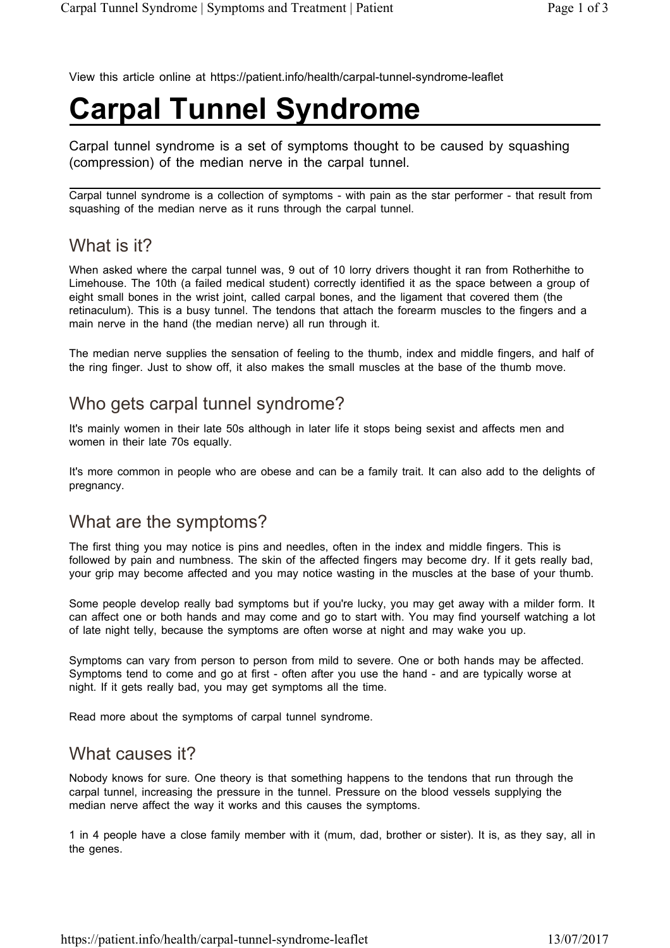View this article online at https://patient.info/health/carpal-tunnel-syndrome-leaflet

# **Carpal Tunnel Syndrome**

Carpal tunnel syndrome is a set of symptoms thought to be caused by squashing (compression) of the median nerve in the carpal tunnel.

Carpal tunnel syndrome is a collection of symptoms - with pain as the star performer - that result from squashing of the median nerve as it runs through the carpal tunnel.

### What is it?

When asked where the carpal tunnel was, 9 out of 10 lorry drivers thought it ran from Rotherhithe to Limehouse. The 10th (a failed medical student) correctly identified it as the space between a group of eight small bones in the wrist joint, called carpal bones, and the ligament that covered them (the retinaculum). This is a busy tunnel. The tendons that attach the forearm muscles to the fingers and a main nerve in the hand (the median nerve) all run through it.

The median nerve supplies the sensation of feeling to the thumb, index and middle fingers, and half of the ring finger. Just to show off, it also makes the small muscles at the base of the thumb move.

### Who gets carpal tunnel syndrome?

It's mainly women in their late 50s although in later life it stops being sexist and affects men and women in their late 70s equally.

It's more common in people who are obese and can be a family trait. It can also add to the delights of pregnancy.

### What are the symptoms?

The first thing you may notice is pins and needles, often in the index and middle fingers. This is followed by pain and numbness. The skin of the affected fingers may become dry. If it gets really bad, your grip may become affected and you may notice wasting in the muscles at the base of your thumb.

Some people develop really bad symptoms but if you're lucky, you may get away with a milder form. It can affect one or both hands and may come and go to start with. You may find yourself watching a lot of late night telly, because the symptoms are often worse at night and may wake you up.

Symptoms can vary from person to person from mild to severe. One or both hands may be affected. Symptoms tend to come and go at first - often after you use the hand - and are typically worse at night. If it gets really bad, you may get symptoms all the time.

Read more about the symptoms of carpal tunnel syndrome.

### What causes it?

Nobody knows for sure. One theory is that something happens to the tendons that run through the carpal tunnel, increasing the pressure in the tunnel. Pressure on the blood vessels supplying the median nerve affect the way it works and this causes the symptoms.

1 in 4 people have a close family member with it (mum, dad, brother or sister). It is, as they say, all in the genes.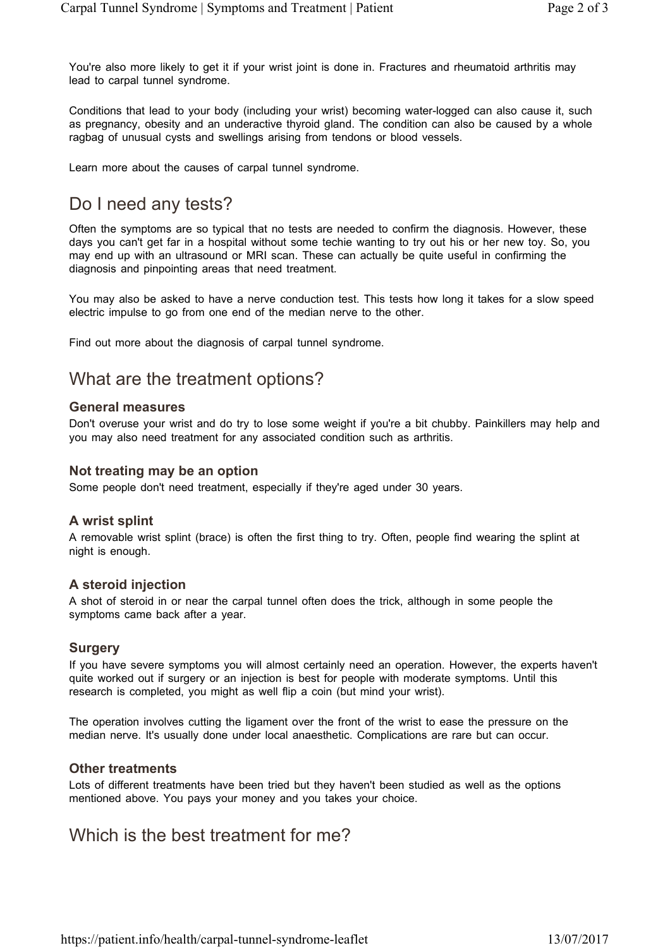You're also more likely to get it if your wrist joint is done in. Fractures and rheumatoid arthritis may lead to carpal tunnel syndrome.

Conditions that lead to your body (including your wrist) becoming water-logged can also cause it, such as pregnancy, obesity and an underactive thyroid gland. The condition can also be caused by a whole ragbag of unusual cysts and swellings arising from tendons or blood vessels.

Learn more about the causes of carpal tunnel syndrome.

# Do I need any tests?

Often the symptoms are so typical that no tests are needed to confirm the diagnosis. However, these days you can't get far in a hospital without some techie wanting to try out his or her new toy. So, you may end up with an ultrasound or MRI scan. These can actually be quite useful in confirming the diagnosis and pinpointing areas that need treatment.

You may also be asked to have a nerve conduction test. This tests how long it takes for a slow speed electric impulse to go from one end of the median nerve to the other.

Find out more about the diagnosis of carpal tunnel syndrome.

## What are the treatment options?

#### **General measures**

Don't overuse your wrist and do try to lose some weight if you're a bit chubby. Painkillers may help and you may also need treatment for any associated condition such as arthritis.

#### **Not treating may be an option**

Some people don't need treatment, especially if they're aged under 30 years.

#### **A wrist splint**

A removable wrist splint (brace) is often the first thing to try. Often, people find wearing the splint at night is enough.

#### **A steroid injection**

A shot of steroid in or near the carpal tunnel often does the trick, although in some people the symptoms came back after a year.

#### **Surgery**

If you have severe symptoms you will almost certainly need an operation. However, the experts haven't quite worked out if surgery or an injection is best for people with moderate symptoms. Until this research is completed, you might as well flip a coin (but mind your wrist).

The operation involves cutting the ligament over the front of the wrist to ease the pressure on the median nerve. It's usually done under local anaesthetic. Complications are rare but can occur.

#### **Other treatments**

Lots of different treatments have been tried but they haven't been studied as well as the options mentioned above. You pays your money and you takes your choice.

### Which is the best treatment for me?